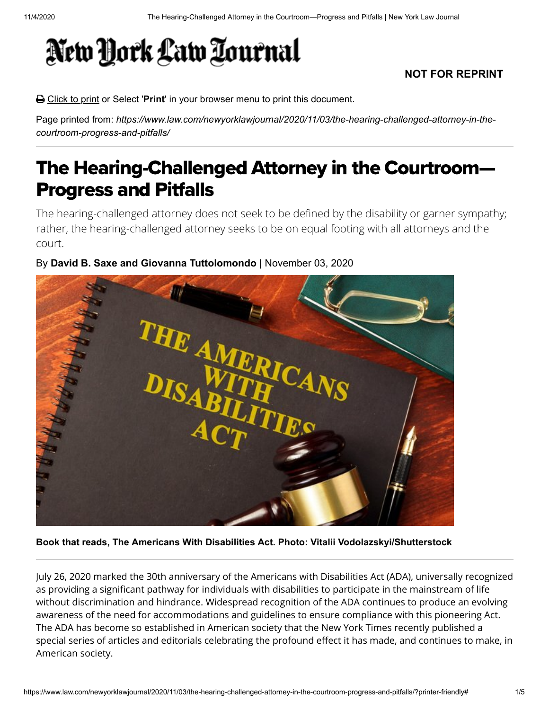## New York Law Tournal

## **NOT FOR REPRINT**

Click to print or Select '**Print**' in your browser menu to print this document.

Page printed from: *https://www.law.com/newyorklawjournal/2020/11/03/the-hearing-challenged-attorney-in-thecourtroom-progress-and-pitfalls/*

## The Hearing-Challenged Attorney in the Courtroom— Progress and Pitfalls

The hearing-challenged attorney does not seek to be defined by the disability or garner sympathy; rather, the hearing-challenged attorney seeks to be on equal footing with all attorneys and the court.

## By **David B. Saxe and Giovanna Tuttolomondo** | November 03, 2020



**Book that reads, The Americans With Disabilities Act. Photo: Vitalii Vodolazskyi/Shutterstock**

July 26, 2020 marked the 30th anniversary of the Americans with Disabilities Act (ADA), universally recognized as providing a significant pathway for individuals with disabilities to participate in the mainstream of life without discrimination and hindrance. Widespread recognition of the ADA continues to produce an evolving awareness of the need for accommodations and guidelines to ensure compliance with this pioneering Act. The ADA has become so established in American society that the New York Times recently published a special series of articles and editorials celebrating the profound effect it has made, and continues to make, in American society.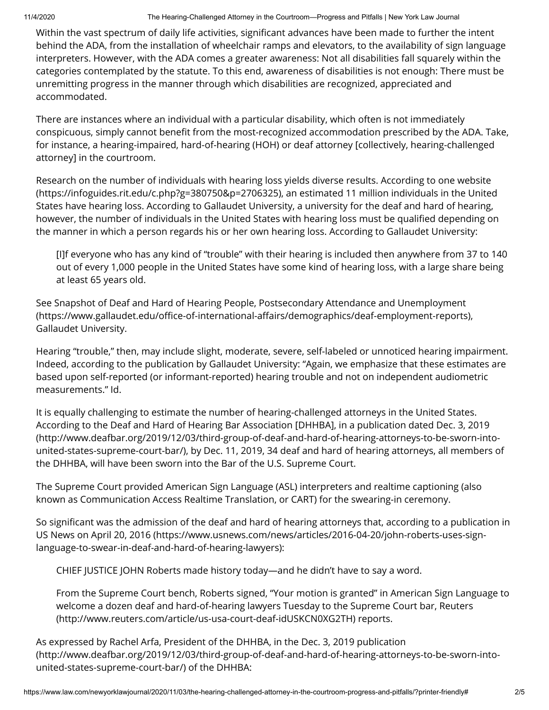Within the vast spectrum of daily life activities, significant advances have been made to further the intent behind the ADA, from the installation of wheelchair ramps and elevators, to the availability of sign language interpreters. However, with the ADA comes a greater awareness: Not all disabilities fall squarely within the categories contemplated by the statute. To this end, awareness of disabilities is not enough: There must be unremitting progress in the manner through which disabilities are recognized, appreciated and accommodated.

There are instances where an individual with a particular disability, which often is not immediately conspicuous, simply cannot benefit from the most-recognized accommodation prescribed by the ADA. Take, for instance, a hearing-impaired, hard-of-hearing (HOH) or deaf attorney [collectively, hearing-challenged attorney] in the courtroom.

Research on the number of individuals with hearing loss yields diverse results. According to one website [\(https://infoguides.rit.edu/c.php?g=380750&p=2706325\), an estimated 11 million individuals in the Unite](https://infoguides.rit.edu/c.php?g=380750&p=2706325)d States have hearing loss. According to Gallaudet University, a university for the deaf and hard of hearing, however, the number of individuals in the United States with hearing loss must be qualified depending on the manner in which a person regards his or her own hearing loss. According to Gallaudet University:

[I]f everyone who has any kind of "trouble" with their hearing is included then anywhere from 37 to 140 out of every 1,000 people in the United States have some kind of hearing loss, with a large share being at least 65 years old.

See Snapshot of Deaf and Hard of Hearing People, Postsecondary Attendance and Unemployment (https://www.gallaudet.edu/office-of-international-affairs/demographics/deaf-employment-reports), Gallaudet University.

Hearing "trouble," then, may include slight, moderate, severe, self-labeled or unnoticed hearing impairment. Indeed, according to the publication by Gallaudet University: "Again, we emphasize that these estimates are based upon self-reported (or informant-reported) hearing trouble and not on independent audiometric measurements." Id.

It is equally challenging to estimate the number of hearing-challenged attorneys in the United States. According to the Deaf and Hard of Hearing Bar Association [DHHBA], in a publication dated Dec. 3, 2019 (http://www.deafbar.org/2019/12/03/third-group-of-deaf-and-hard-of-hearing-attorneys-to-be-sworn-into[united-states-supreme-court-bar/\), by Dec. 11, 2019, 34 deaf and hard of hearing attorneys, all members o](http://www.deafbar.org/2019/12/03/third-group-of-deaf-and-hard-of-hearing-attorneys-to-be-sworn-into-united-states-supreme-court-bar/)f the DHHBA, will have been sworn into the Bar of the U.S. Supreme Court.

The Supreme Court provided American Sign Language (ASL) interpreters and realtime captioning (also known as Communication Access Realtime Translation, or CART) for the swearing-in ceremony.

So significant was the admission of the deaf and hard of hearing attorneys that, according to a publication in US News on April 20, 2016 (https://www.usnews.com/news/articles/2016-04-20/john-roberts-uses-signlanguage-to-swear-in-deaf-and-hard-of-hearing-lawyers):

CHIEF JUSTICE JOHN Roberts made history today—and he didn't have to say a word.

From the Supreme Court bench, Roberts signed, "Your motion is granted" in American Sign Language to [welcome a dozen deaf and hard-of-hearing lawyers Tuesday to the Supreme Court bar, Reuters](http://www.reuters.com/article/us-usa-court-deaf-idUSKCN0XG2TH) (http://www.reuters.com/article/us-usa-court-deaf-idUSKCN0XG2TH) reports.

As expressed by Rachel Arfa, President of the DHHBA, in the Dec. 3, 2019 publication [\(http://www.deafbar.org/2019/12/03/third-group-of-deaf-and-hard-of-hearing-attorneys-to-be-sworn-into](http://www.deafbar.org/2019/12/03/third-group-of-deaf-and-hard-of-hearing-attorneys-to-be-sworn-into-united-states-supreme-court-bar/)united-states-supreme-court-bar/) of the DHHBA: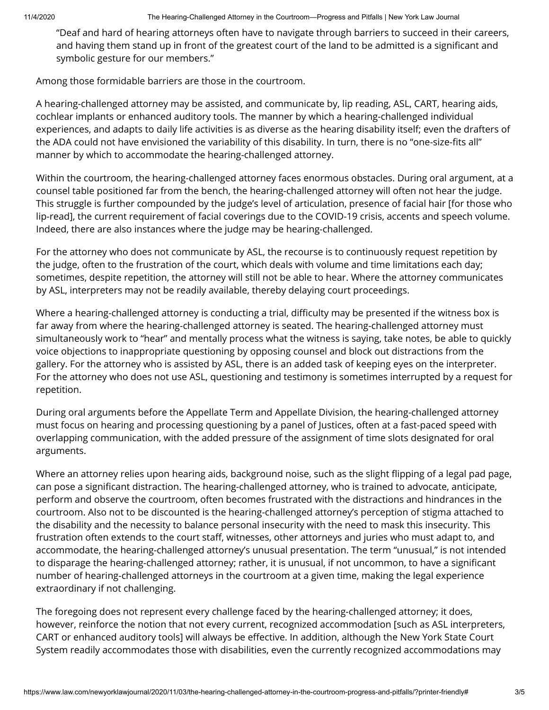"Deaf and hard of hearing attorneys often have to navigate through barriers to succeed in their careers, and having them stand up in front of the greatest court of the land to be admitted is a significant and symbolic gesture for our members."

Among those formidable barriers are those in the courtroom.

A hearing-challenged attorney may be assisted, and communicate by, lip reading, ASL, CART, hearing aids, cochlear implants or enhanced auditory tools. The manner by which a hearing-challenged individual experiences, and adapts to daily life activities is as diverse as the hearing disability itself; even the drafters of the ADA could not have envisioned the variability of this disability. In turn, there is no "one-size-fits all" manner by which to accommodate the hearing-challenged attorney.

Within the courtroom, the hearing-challenged attorney faces enormous obstacles. During oral argument, at a counsel table positioned far from the bench, the hearing-challenged attorney will often not hear the judge. This struggle is further compounded by the judge's level of articulation, presence of facial hair [for those who lip-read], the current requirement of facial coverings due to the COVID-19 crisis, accents and speech volume. Indeed, there are also instances where the judge may be hearing-challenged.

For the attorney who does not communicate by ASL, the recourse is to continuously request repetition by the judge, often to the frustration of the court, which deals with volume and time limitations each day; sometimes, despite repetition, the attorney will still not be able to hear. Where the attorney communicates by ASL, interpreters may not be readily available, thereby delaying court proceedings.

Where a hearing-challenged attorney is conducting a trial, difficulty may be presented if the witness box is far away from where the hearing-challenged attorney is seated. The hearing-challenged attorney must simultaneously work to "hear" and mentally process what the witness is saying, take notes, be able to quickly voice objections to inappropriate questioning by opposing counsel and block out distractions from the gallery. For the attorney who is assisted by ASL, there is an added task of keeping eyes on the interpreter. For the attorney who does not use ASL, questioning and testimony is sometimes interrupted by a request for repetition.

During oral arguments before the Appellate Term and Appellate Division, the hearing-challenged attorney must focus on hearing and processing questioning by a panel of Justices, often at a fast-paced speed with overlapping communication, with the added pressure of the assignment of time slots designated for oral arguments.

Where an attorney relies upon hearing aids, background noise, such as the slight flipping of a legal pad page, can pose a significant distraction. The hearing-challenged attorney, who is trained to advocate, anticipate, perform and observe the courtroom, often becomes frustrated with the distractions and hindrances in the courtroom. Also not to be discounted is the hearing-challenged attorney's perception of stigma attached to the disability and the necessity to balance personal insecurity with the need to mask this insecurity. This frustration often extends to the court staff, witnesses, other attorneys and juries who must adapt to, and accommodate, the hearing-challenged attorney's unusual presentation. The term "unusual," is not intended to disparage the hearing-challenged attorney; rather, it is unusual, if not uncommon, to have a significant number of hearing-challenged attorneys in the courtroom at a given time, making the legal experience extraordinary if not challenging.

The foregoing does not represent every challenge faced by the hearing-challenged attorney; it does, however, reinforce the notion that not every current, recognized accommodation [such as ASL interpreters, CART or enhanced auditory tools] will always be effective. In addition, although the New York State Court System readily accommodates those with disabilities, even the currently recognized accommodations may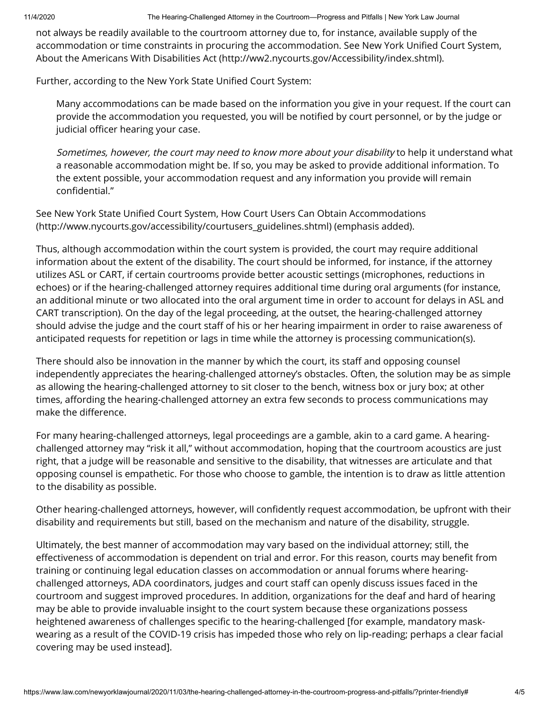not always be readily available to the courtroom attorney due to, for instance, available supply of the accommodation or time constraints in procuring the accommodation. See New York Unified Court System, [About the Americans With Disabilities Act \(http://ww2.nycourts.gov/Accessibility/index.shtml\).](http://ww2.nycourts.gov/Accessibility/index.shtml)

Further, according to the New York State Unified Court System:

Many accommodations can be made based on the information you give in your request. If the court can provide the accommodation you requested, you will be notified by court personnel, or by the judge or judicial officer hearing your case.

Sometimes, however, the court may need to know more about your disability to help it understand what a reasonable accommodation might be. If so, you may be asked to provide additional information. To the extent possible, your accommodation request and any information you provide will remain confidential."

See New York State Unified Court System, How Court Users Can Obtain Accommodations (http://www.nycourts.gov/accessibility/courtusers\_guidelines.shtml) (emphasis added).

Thus, although accommodation within the court system is provided, the court may require additional information about the extent of the disability. The court should be informed, for instance, if the attorney utilizes ASL or CART, if certain courtrooms provide better acoustic settings (microphones, reductions in echoes) or if the hearing-challenged attorney requires additional time during oral arguments (for instance, an additional minute or two allocated into the oral argument time in order to account for delays in ASL and CART transcription). On the day of the legal proceeding, at the outset, the hearing-challenged attorney should advise the judge and the court staff of his or her hearing impairment in order to raise awareness of anticipated requests for repetition or lags in time while the attorney is processing communication(s).

There should also be innovation in the manner by which the court, its staff and opposing counsel independently appreciates the hearing-challenged attorney's obstacles. Often, the solution may be as simple as allowing the hearing-challenged attorney to sit closer to the bench, witness box or jury box; at other times, affording the hearing-challenged attorney an extra few seconds to process communications may make the difference.

For many hearing-challenged attorneys, legal proceedings are a gamble, akin to a card game. A hearingchallenged attorney may "risk it all," without accommodation, hoping that the courtroom acoustics are just right, that a judge will be reasonable and sensitive to the disability, that witnesses are articulate and that opposing counsel is empathetic. For those who choose to gamble, the intention is to draw as little attention to the disability as possible.

Other hearing-challenged attorneys, however, will confidently request accommodation, be upfront with their disability and requirements but still, based on the mechanism and nature of the disability, struggle.

Ultimately, the best manner of accommodation may vary based on the individual attorney; still, the effectiveness of accommodation is dependent on trial and error. For this reason, courts may benefit from training or continuing legal education classes on accommodation or annual forums where hearingchallenged attorneys, ADA coordinators, judges and court staff can openly discuss issues faced in the courtroom and suggest improved procedures. In addition, organizations for the deaf and hard of hearing may be able to provide invaluable insight to the court system because these organizations possess heightened awareness of challenges specific to the hearing-challenged [for example, mandatory maskwearing as a result of the COVID-19 crisis has impeded those who rely on lip-reading; perhaps a clear facial covering may be used instead].